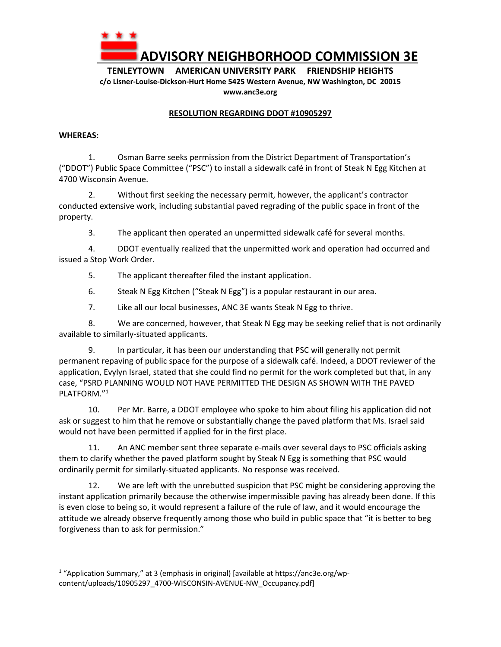

**ADVISORY NEIGHBORHOOD COMMISSION 3E**

**TENLEYTOWN AMERICAN UNIVERSITY PARK FRIENDSHIP HEIGHTS c/o Lisner‐Louise‐Dickson‐Hurt Home 5425 Western Avenue, NW Washington, DC 20015 www.anc3e.org** 

## **RESOLUTION REGARDING DDOT #10905297**

## **WHEREAS:**

1. Osman Barre seeks permission from the District Department of Transportation's ("DDOT") Public Space Committee ("PSC") to install a sidewalk café in front of Steak N Egg Kitchen at 4700 Wisconsin Avenue.

2. Without first seeking the necessary permit, however, the applicant's contractor conducted extensive work, including substantial paved regrading of the public space in front of the property.

3. The applicant then operated an unpermitted sidewalk café for several months.

4. DDOT eventually realized that the unpermitted work and operation had occurred and issued a Stop Work Order.

5. The applicant thereafter filed the instant application.

6. Steak N Egg Kitchen ("Steak N Egg") is a popular restaurant in our area.

7. Like all our local businesses, ANC 3E wants Steak N Egg to thrive.

8. We are concerned, however, that Steak N Egg may be seeking relief that is not ordinarily available to similarly‐situated applicants.

9. In particular, it has been our understanding that PSC will generally not permit permanent repaving of public space for the purpose of a sidewalk café. Indeed, a DDOT reviewer of the application, Evylyn Israel, stated that she could find no permit for the work completed but that, in any case, "PSRD PLANNING WOULD NOT HAVE PERMITTED THE DESIGN AS SHOWN WITH THE PAVED PLATFORM."1

10. Per Mr. Barre, a DDOT employee who spoke to him about filing his application did not ask or suggest to him that he remove or substantially change the paved platform that Ms. Israel said would not have been permitted if applied for in the first place.

11. An ANC member sent three separate e-mails over several days to PSC officials asking them to clarify whether the paved platform sought by Steak N Egg is something that PSC would ordinarily permit for similarly‐situated applicants. No response was received.

12. We are left with the unrebutted suspicion that PSC might be considering approving the instant application primarily because the otherwise impermissible paving has already been done. If this is even close to being so, it would represent a failure of the rule of law, and it would encourage the attitude we already observe frequently among those who build in public space that "it is better to beg forgiveness than to ask for permission."

<sup>&</sup>lt;sup>1</sup> "Application Summary," at 3 (emphasis in original) [available at https://anc3e.org/wpcontent/uploads/10905297\_4700-WISCONSIN-AVENUE-NW\_Occupancy.pdf]